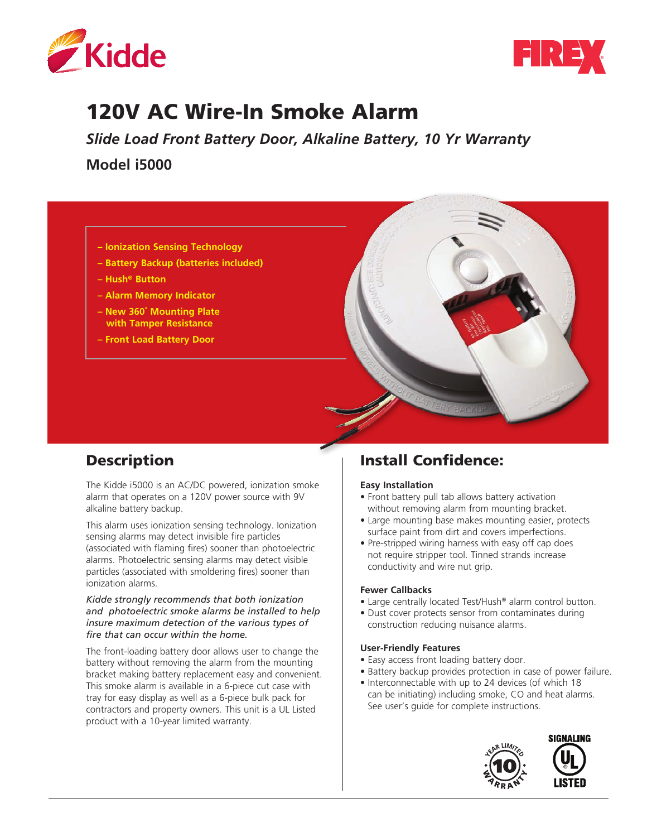



# 120V AC Wire-In Smoke Alarm

*Slide Load Front Battery Door, Alkaline Battery, 10 Yr Warranty* **Model i5000** 



- **Battery Backup (batteries included)**
- **Hush® Button**
- **Alarm Memory Indicator**
- **New 360˚ Mounting Plate with Tamper Resistance**
- **Front Load Battery Door**



# Description

The Kidde i5000 is an AC/DC powered, ionization smoke alarm that operates on a 120V power source with 9V alkaline battery backup.

This alarm uses ionization sensing technology. Ionization sensing alarms may detect invisible fire particles (associated with flaming fires) sooner than photoelectric alarms. Photoelectric sensing alarms may detect visible particles (associated with smoldering fires) sooner than ionization alarms.

#### *Kidde strongly recommends that both ionization and photoelectric smoke alarms be installed to help insure maximum detection of the various types of fire that can occur within the home.*

The front-loading battery door allows user to change the battery without removing the alarm from the mounting bracket making battery replacement easy and convenient. This smoke alarm is available in a 6-piece cut case with tray for easy display as well as a 6-piece bulk pack for contractors and property owners. This unit is a UL Listed product with a 10-year limited warranty.

## Install Confidence:

#### **Easy Installation**

- Front battery pull tab allows battery activation without removing alarm from mounting bracket.
- Large mounting base makes mounting easier, protects surface paint from dirt and covers imperfections.
- Pre-stripped wiring harness with easy off cap does not require stripper tool. Tinned strands increase conductivity and wire nut grip.

#### **Fewer Callbacks**

- Large centrally located Test/Hush® alarm control button.
- Dust cover protects sensor from contaminates during construction reducing nuisance alarms.

#### **User-Friendly Features**

- Easy access front loading battery door.
- Battery backup provides protection in case of power failure.
- Interconnectable with up to 24 devices (of which 18 can be initiating) including smoke, CO and heat alarms. See user's guide for complete instructions.